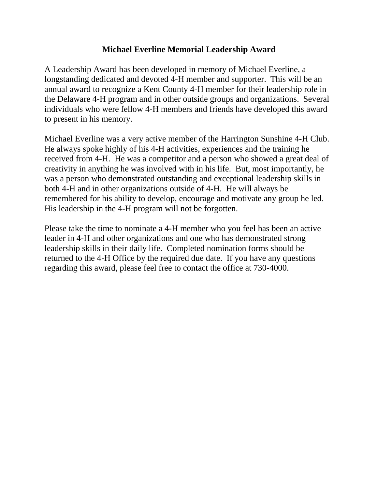## **Michael Everline Memorial Leadership Award**

A Leadership Award has been developed in memory of Michael Everline, a longstanding dedicated and devoted 4-H member and supporter. This will be an annual award to recognize a Kent County 4-H member for their leadership role in the Delaware 4-H program and in other outside groups and organizations. Several individuals who were fellow 4-H members and friends have developed this award to present in his memory.

Michael Everline was a very active member of the Harrington Sunshine 4-H Club. He always spoke highly of his 4-H activities, experiences and the training he received from 4-H. He was a competitor and a person who showed a great deal of creativity in anything he was involved with in his life. But, most importantly, he was a person who demonstrated outstanding and exceptional leadership skills in both 4-H and in other organizations outside of 4-H. He will always be remembered for his ability to develop, encourage and motivate any group he led. His leadership in the 4-H program will not be forgotten.

Please take the time to nominate a 4-H member who you feel has been an active leader in 4-H and other organizations and one who has demonstrated strong leadership skills in their daily life. Completed nomination forms should be returned to the 4-H Office by the required due date. If you have any questions regarding this award, please feel free to contact the office at 730-4000.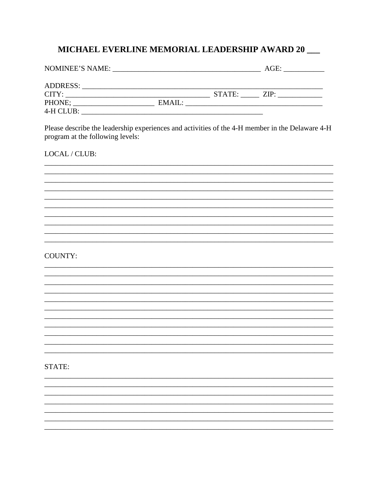## MICHAEL EVERLINE MEMORIAL LEADERSHIP AWARD 20 \_\_

| NOMINEE'S NAME: |        |        | AGE: |  |
|-----------------|--------|--------|------|--|
| <b>ADDRESS:</b> |        |        |      |  |
| CITY:           |        | STATE: | ZIP: |  |
| PHONE;          | EMAIL: |        |      |  |
| 4-H CLUB:       |        |        |      |  |

Please describe the leadership experiences and activities of the 4-H member in the Delaware 4-H program at the following levels:

## LOCAL / CLUB:

## **COUNTY:**

STATE: